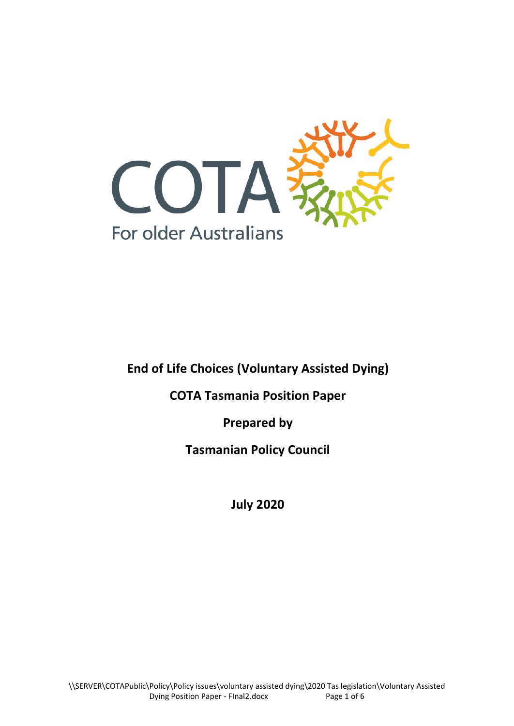

**End of Life Choices (Voluntary Assisted Dying)**

**COTA Tasmania Position Paper**

**Prepared by**

**Tasmanian Policy Council**

**July 2020**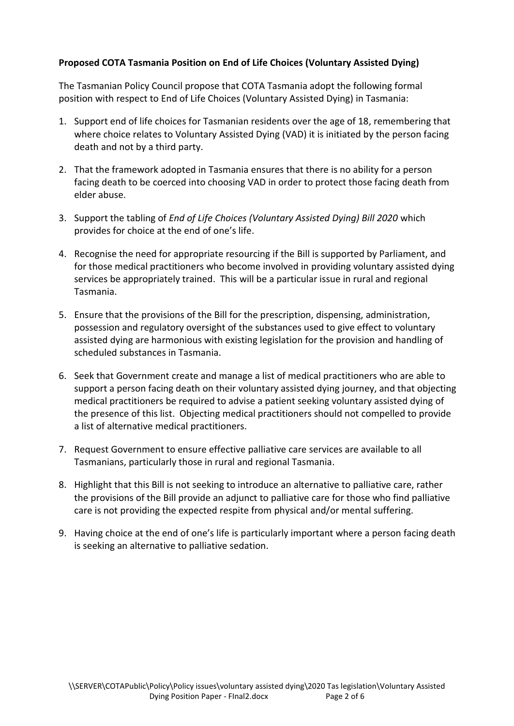#### **Proposed COTA Tasmania Position on End of Life Choices (Voluntary Assisted Dying)**

The Tasmanian Policy Council propose that COTA Tasmania adopt the following formal position with respect to End of Life Choices (Voluntary Assisted Dying) in Tasmania:

- 1. Support end of life choices for Tasmanian residents over the age of 18, remembering that where choice relates to Voluntary Assisted Dying (VAD) it is initiated by the person facing death and not by a third party.
- 2. That the framework adopted in Tasmania ensures that there is no ability for a person facing death to be coerced into choosing VAD in order to protect those facing death from elder abuse.
- 3. Support the tabling of *End of Life Choices (Voluntary Assisted Dying) Bill 2020* which provides for choice at the end of one's life.
- 4. Recognise the need for appropriate resourcing if the Bill is supported by Parliament, and for those medical practitioners who become involved in providing voluntary assisted dying services be appropriately trained. This will be a particular issue in rural and regional Tasmania.
- 5. Ensure that the provisions of the Bill for the prescription, dispensing, administration, possession and regulatory oversight of the substances used to give effect to voluntary assisted dying are harmonious with existing legislation for the provision and handling of scheduled substances in Tasmania.
- 6. Seek that Government create and manage a list of medical practitioners who are able to support a person facing death on their voluntary assisted dying journey, and that objecting medical practitioners be required to advise a patient seeking voluntary assisted dying of the presence of this list. Objecting medical practitioners should not compelled to provide a list of alternative medical practitioners.
- 7. Request Government to ensure effective palliative care services are available to all Tasmanians, particularly those in rural and regional Tasmania.
- 8. Highlight that this Bill is not seeking to introduce an alternative to palliative care, rather the provisions of the Bill provide an adjunct to palliative care for those who find palliative care is not providing the expected respite from physical and/or mental suffering.
- 9. Having choice at the end of one's life is particularly important where a person facing death is seeking an alternative to palliative sedation.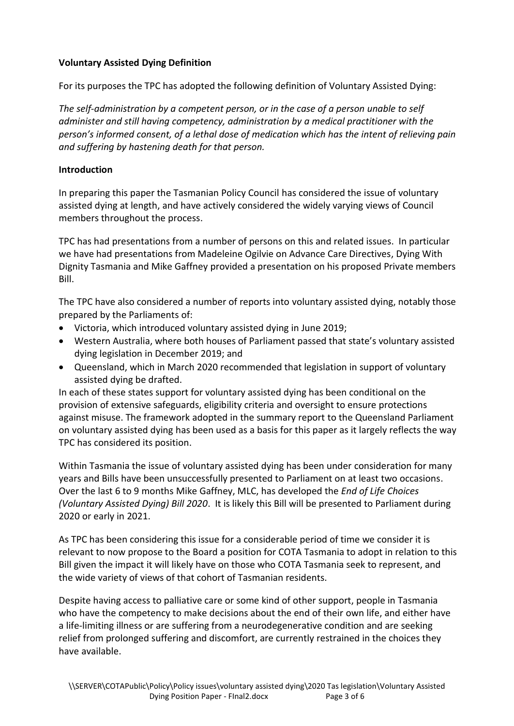### **Voluntary Assisted Dying Definition**

For its purposes the TPC has adopted the following definition of Voluntary Assisted Dying:

*The self-administration by a competent person, or in the case of a person unable to self administer and still having competency, administration by a medical practitioner with the person's informed consent, of a lethal dose of medication which has the intent of relieving pain and suffering by hastening death for that person.* 

### **Introduction**

In preparing this paper the Tasmanian Policy Council has considered the issue of voluntary assisted dying at length, and have actively considered the widely varying views of Council members throughout the process.

TPC has had presentations from a number of persons on this and related issues. In particular we have had presentations from Madeleine Ogilvie on Advance Care Directives, Dying With Dignity Tasmania and Mike Gaffney provided a presentation on his proposed Private members Bill.

The TPC have also considered a number of reports into voluntary assisted dying, notably those prepared by the Parliaments of:

- Victoria, which introduced voluntary assisted dying in June 2019;
- Western Australia, where both houses of Parliament passed that state's voluntary assisted dying legislation in December 2019; and
- Queensland, which in March 2020 recommended that legislation in support of voluntary assisted dying be drafted.

In each of these states support for voluntary assisted dying has been conditional on the provision of extensive safeguards, eligibility criteria and oversight to ensure protections against misuse. The framework adopted in the summary report to the Queensland Parliament on voluntary assisted dying has been used as a basis for this paper as it largely reflects the way TPC has considered its position.

Within Tasmania the issue of voluntary assisted dying has been under consideration for many years and Bills have been unsuccessfully presented to Parliament on at least two occasions. Over the last 6 to 9 months Mike Gaffney, MLC, has developed the *End of Life Choices (Voluntary Assisted Dying) Bill 2020*. It is likely this Bill will be presented to Parliament during 2020 or early in 2021.

As TPC has been considering this issue for a considerable period of time we consider it is relevant to now propose to the Board a position for COTA Tasmania to adopt in relation to this Bill given the impact it will likely have on those who COTA Tasmania seek to represent, and the wide variety of views of that cohort of Tasmanian residents.

Despite having access to palliative care or some kind of other support, people in Tasmania who have the competency to make decisions about the end of their own life, and either have a life-limiting illness or are suffering from a neurodegenerative condition and are seeking relief from prolonged suffering and discomfort, are currently restrained in the choices they have available.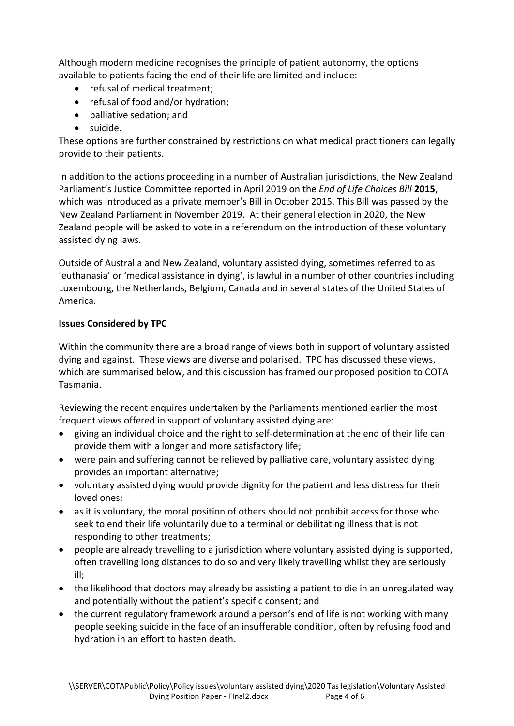Although modern medicine recognises the principle of patient autonomy, the options available to patients facing the end of their life are limited and include:

- refusal of medical treatment;
- refusal of food and/or hydration;
- palliative sedation; and
- suicide.

These options are further constrained by restrictions on what medical practitioners can legally provide to their patients.

In addition to the actions proceeding in a number of Australian jurisdictions, the New Zealand Parliament's Justice Committee reported in April 2019 on the *End of Life Choices Bill* **2015**, which was introduced as a private member's Bill in October 2015. This Bill was passed by the New Zealand Parliament in November 2019. At their general election in 2020, the New Zealand people will be asked to vote in a referendum on the introduction of these voluntary assisted dying laws.

Outside of Australia and New Zealand, voluntary assisted dying, sometimes referred to as 'euthanasia' or 'medical assistance in dying', is lawful in a number of other countries including Luxembourg, the Netherlands, Belgium, Canada and in several states of the United States of America.

### **Issues Considered by TPC**

Within the community there are a broad range of views both in support of voluntary assisted dying and against. These views are diverse and polarised. TPC has discussed these views, which are summarised below, and this discussion has framed our proposed position to COTA Tasmania.

Reviewing the recent enquires undertaken by the Parliaments mentioned earlier the most frequent views offered in support of voluntary assisted dying are:

- giving an individual choice and the right to self-determination at the end of their life can provide them with a longer and more satisfactory life;
- were pain and suffering cannot be relieved by palliative care, voluntary assisted dying provides an important alternative;
- voluntary assisted dying would provide dignity for the patient and less distress for their loved ones;
- as it is voluntary, the moral position of others should not prohibit access for those who seek to end their life voluntarily due to a terminal or debilitating illness that is not responding to other treatments;
- people are already travelling to a jurisdiction where voluntary assisted dying is supported, often travelling long distances to do so and very likely travelling whilst they are seriously ill;
- the likelihood that doctors may already be assisting a patient to die in an unregulated way and potentially without the patient's specific consent; and
- the current regulatory framework around a person's end of life is not working with many people seeking suicide in the face of an insufferable condition, often by refusing food and hydration in an effort to hasten death.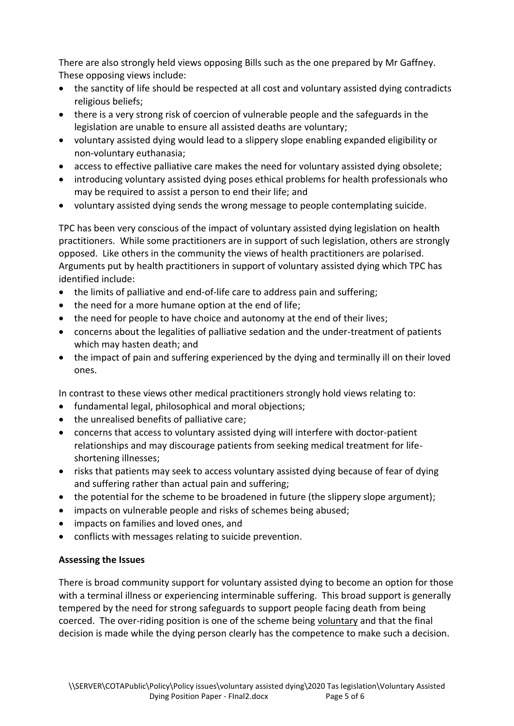There are also strongly held views opposing Bills such as the one prepared by Mr Gaffney. These opposing views include:

- the sanctity of life should be respected at all cost and voluntary assisted dying contradicts religious beliefs;
- there is a very strong risk of coercion of vulnerable people and the safeguards in the legislation are unable to ensure all assisted deaths are voluntary;
- voluntary assisted dying would lead to a slippery slope enabling expanded eligibility or non-voluntary euthanasia;
- access to effective palliative care makes the need for voluntary assisted dying obsolete;
- introducing voluntary assisted dying poses ethical problems for health professionals who may be required to assist a person to end their life; and
- voluntary assisted dying sends the wrong message to people contemplating suicide.

TPC has been very conscious of the impact of voluntary assisted dying legislation on health practitioners. While some practitioners are in support of such legislation, others are strongly opposed. Like others in the community the views of health practitioners are polarised. Arguments put by health practitioners in support of voluntary assisted dying which TPC has identified include:

- the limits of palliative and end-of-life care to address pain and suffering;
- the need for a more humane option at the end of life;
- the need for people to have choice and autonomy at the end of their lives;
- concerns about the legalities of palliative sedation and the under-treatment of patients which may hasten death; and
- the impact of pain and suffering experienced by the dying and terminally ill on their loved ones.

In contrast to these views other medical practitioners strongly hold views relating to:

- fundamental legal, philosophical and moral objections;
- the unrealised benefits of palliative care;
- concerns that access to voluntary assisted dying will interfere with doctor-patient relationships and may discourage patients from seeking medical treatment for lifeshortening illnesses;
- risks that patients may seek to access voluntary assisted dying because of fear of dying and suffering rather than actual pain and suffering;
- the potential for the scheme to be broadened in future (the slippery slope argument);
- impacts on vulnerable people and risks of schemes being abused;
- impacts on families and loved ones, and
- conflicts with messages relating to suicide prevention.

# **Assessing the Issues**

There is broad community support for voluntary assisted dying to become an option for those with a terminal illness or experiencing interminable suffering. This broad support is generally tempered by the need for strong safeguards to support people facing death from being coerced. The over-riding position is one of the scheme being voluntary and that the final decision is made while the dying person clearly has the competence to make such a decision.